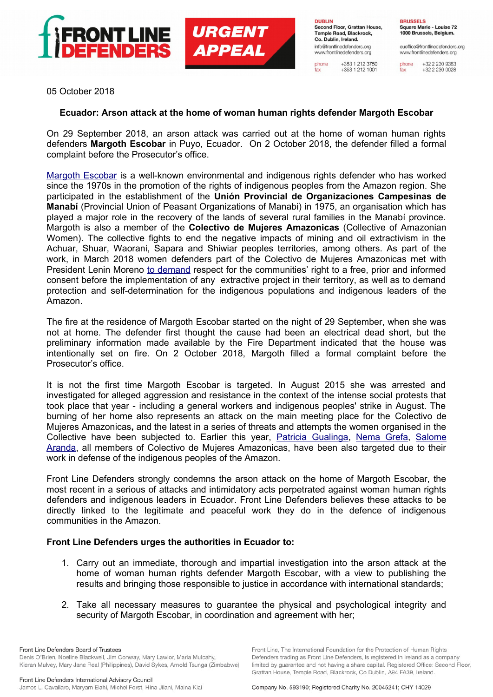

**URGENT APPEAL** 

**DUBLIN** Second Floor, Grattan House, Temple Road, Blackrock, Co. Dublin, Ireland. info@frontlinedefenders.org www.frontlinedefenders.org

+353 1 212 3750<br>+353 1 212 1001 phone fax

**BRUSSELS** Square Marie - Louise 72 1000 Brussels, Belgium.

euoffice@frontlinedefenders.org www.frontlinedefenders.org

+32 2 230 9383 phone  $+3222300028$ fax

05 October 2018

## **Ecuador: Arson attack at the home of woman human rights defender Margoth Escobar**

On 29 September 2018, an arson attack was carried out at the home of woman human rights defenders **Margoth Escobar** in Puyo, Ecuador. On 2 October 2018, the defender filled a formal complaint before the Prosecutor's office.

[Margoth Escobar](https://www.frontlinedefenders.org/en/profile/margoth-escobar) is a well-known environmental and indigenous rights defender who has worked since the 1970s in the promotion of the rights of indigenous peoples from the Amazon region. She participated in the establishment of the **Unión Provincial de Organizaciones Campesinas de Manabí** (Provincial Union of Peasant Organizations of Manabi) in 1975, an organisation which has played a major role in the recovery of the lands of several rural families in the Manabí province. Margoth is also a member of the **Colectivo de Mujeres Amazonicas** (Collective of Amazonian Women). The collective fights to end the negative impacts of mining and oil extractivism in the Achuar, Shuar, Waorani, Sapara and Shiwiar peoples territories, among others. As part of the work, in March 2018 women defenders part of the Colectivo de Mujeres Amazonicas met with President Lenin Moreno [to demand](http://www.planv.com.ec/sites/default/files/mandato_de_las_mujeres_amazonicas_.pdf) respect for the communities' right to a free, prior and informed consent before the implementation of any extractive project in their territory, as well as to demand protection and self-determination for the indigenous populations and indigenous leaders of the Amazon.

The fire at the residence of Margoth Escobar started on the night of 29 September, when she was not at home. The defender first thought the cause had been an electrical dead short, but the preliminary information made available by the Fire Department indicated that the house was intentionally set on fire. On 2 October 2018, Margoth filled a formal complaint before the Prosecutor's office.

It is not the first time Margoth Escobar is targeted. In August 2015 she was arrested and investigated for alleged aggression and resistance in the context of the intense social protests that took place that year - including a general workers and indigenous peoples' strike in August. The burning of her home also represents an attack on the main meeting place for the Colectivo de Mujeres Amazonicas**,** and the latest in a series of threats and attempts the women organised in the Collective have been subjected to. Earlier this year, [Patricia Gualinga,](https://www.frontlinedefenders.org/en/case/patricia-gualinga-attacked-received-death-threats) [Nema Grefa,](https://www.frontlinedefenders.org/en/profile/nema-grefa-ushigua) [Salome](https://amazonwatch.org/take-action/speak-up-to-defend-an-indigenous-earth-defender?email=mail-info-elbufer-wedel@gmx.de&first=Helga&last=Blackthorne&utm_source=Amazon+Watch+Newsletter+and+Updates&utm_campaign=d042a924f7-2018-05-22-ec-salome&utm_medium=email&utm_term=0_e6f929728b-d042a924f7-341533549&mc_cid=d042a924f7&mc_eid=b878856436) [Aranda,](https://amazonwatch.org/take-action/speak-up-to-defend-an-indigenous-earth-defender?email=mail-info-elbufer-wedel@gmx.de&first=Helga&last=Blackthorne&utm_source=Amazon+Watch+Newsletter+and+Updates&utm_campaign=d042a924f7-2018-05-22-ec-salome&utm_medium=email&utm_term=0_e6f929728b-d042a924f7-341533549&mc_cid=d042a924f7&mc_eid=b878856436) all members of Colectivo de Mujeres Amazonicas, have been also targeted due to their work in defense of the indigenous peoples of the Amazon.

Front Line Defenders strongly condemns the arson attack on the home of Margoth Escobar, the most recent in a serious of attacks and intimidatory acts perpetrated against woman human rights defenders and indigenous leaders in Ecuador. Front Line Defenders believes these attacks to be directly linked to the legitimate and peaceful work they do in the defence of indigenous communities in the Amazon.

## **Front Line Defenders urges the authorities in Ecuador to:**

- 1. Carry out an immediate, thorough and impartial investigation into the arson attack at the home of woman human rights defender Margoth Escobar, with a view to publishing the results and bringing those responsible to justice in accordance with international standards;
- 2. Take all necessary measures to guarantee the physical and psychological integrity and security of Margoth Escobar, in coordination and agreement with her;

Front Line Defenders Board of Trustees Denis O'Brien, Noeline Blackwell, Jim Conway, Mary Lawlor, Maria Mulcahy, Kieran Mulvey, Mary Jane Real (Philippines), David Sykes, Arnold Tsunga (Zimbabwe) Front Line, The International Foundation for the Protection of Human Rights Defenders trading as Front Line Defenders, is registered in Ireland as a company limited by guarantee and not having a share capital. Registered Office: Second Floor, Grattan House, Temple Road, Blackrock, Co Dublin, A94 FA39, Ireland,